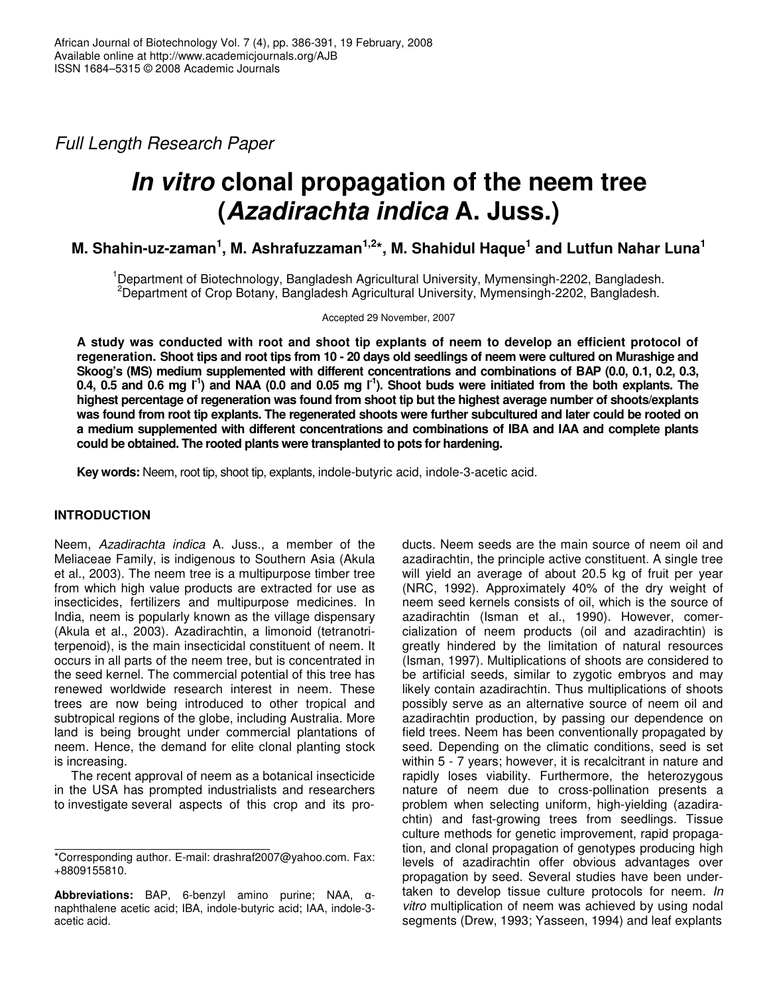*Full Length Research Paper*

# *In vitro* **clonal propagation of the neem tree (***Azadirachta indica* **A. Juss.)**

**M. Shahin-uz-zaman 1 , M. Ashrafuzzaman 1,2 \*, M. Shahidul Haque 1 and Lutfun Nahar Luna 1**

<sup>1</sup>Department of Biotechnology, Bangladesh Agricultural University, Mymensingh-2202, Bangladesh. <sup>2</sup>Department of Crop Botany, Bangladesh Agricultural University, Mymensingh-2202, Bangladesh.

Accepted 29 November, 2007

**A study was conducted with root and shoot tip explants of neem to develop an efficient protocol of** regeneration. Shoot tips and root tips from 10 - 20 days old seedlings of neem were cultured on Murashige and **Skoog's (MS) medium supplemented with different concentrations and combinations of BAP (0.0, 0.1, 0.2, 0.3,** 0.4, 0.5 and 0.6 mg  $I^1$ ) and NAA (0.0 and 0.05 mg  $I^1$ ). Shoot buds were initiated from the both explants. The **highest percentage of regeneration was found from shoot tip but the highest average number of shoots/explants** was found from root tip explants. The regenerated shoots were further subcultured and later could be rooted on **a medium supplemented with different concentrations and combinations of IBA and IAA and complete plants could be obtained. The rooted plants were transplanted to pots for hardening.**

**Key words:** Neem, root tip, shoot tip, explants, indole-butyric acid, indole-3-acetic acid.

# **INTRODUCTION**

Neem, *Azadirachta indica* A. Juss., a member of the Meliaceae Family, is indigenous to Southern Asia (Akula et al*.*, 2003). The neem tree is a multipurpose timber tree from which high value products are extracted for use as insecticides, fertilizers and multipurpose medicines. In India, neem is popularly known as the village dispensary (Akula et al*.*, 2003). Azadirachtin, a limonoid (tetranotriterpenoid), is the main insecticidal constituent of neem. It occurs in all parts of the neem tree, but is concentrated in the seed kernel. The commercial potential of this tree has renewed worldwide research interest in neem. These trees are now being introduced to other tropical and subtropical regions of the globe, including Australia. More land is being brought under commercial plantations of neem. Hence, the demand for elite clonal planting stock is increasing.

The recent approval of neem as a botanical insecticide in the USA has prompted industrialists and researchers to investigate several aspects of this crop and its pro-

ducts. Neem seeds are the main source of neem oil and azadirachtin, the principle active constituent. A single tree will yield an average of about 20.5 kg of fruit per year (NRC, 1992). Approximately 40% of the dry weight of neem seed kernels consists of oil, which is the source of azadirachtin (Isman et al., 1990). However, comercialization of neem products (oil and azadirachtin) is greatly hindered by the limitation of natural resources (Isman, 1997). Multiplications of shoots are considered to be artificial seeds, similar to zygotic embryos and may likely contain azadirachtin. Thus multiplications of shoots possibly serve as an alternative source of neem oil and azadirachtin production, by passing our dependence on field trees. Neem has been conventionally propagated by seed. Depending on the climatic conditions, seed is set within 5 - 7 years; however, it is recalcitrant in nature and rapidly loses viability. Furthermore, the heterozygous nature of neem due to cross-pollination presents a problem when selecting uniform, high-yielding (azadirachtin) and fast-growing trees from seedlings. Tissue culture methods for genetic improvement, rapid propagation, and clonal propagation of genotypes producing high levels of azadirachtin offer obvious advantages over propagation by seed. Several studies have been undertaken to develop tissue culture protocols for neem. *In vitro* multiplication of neem was achieved by using nodal segments (Drew, 1993; Yasseen, 1994) and leaf explants

<sup>\*</sup>Corresponding author. E-mail: drashraf2007@yahoo.com. Fax: +8809155810.

**Abbreviations:** BAP, 6-benzyl amino purine; NAA,  $\alpha$ naphthalene acetic acid; IBA, indole-butyric acid; IAA, indole-3 acetic acid.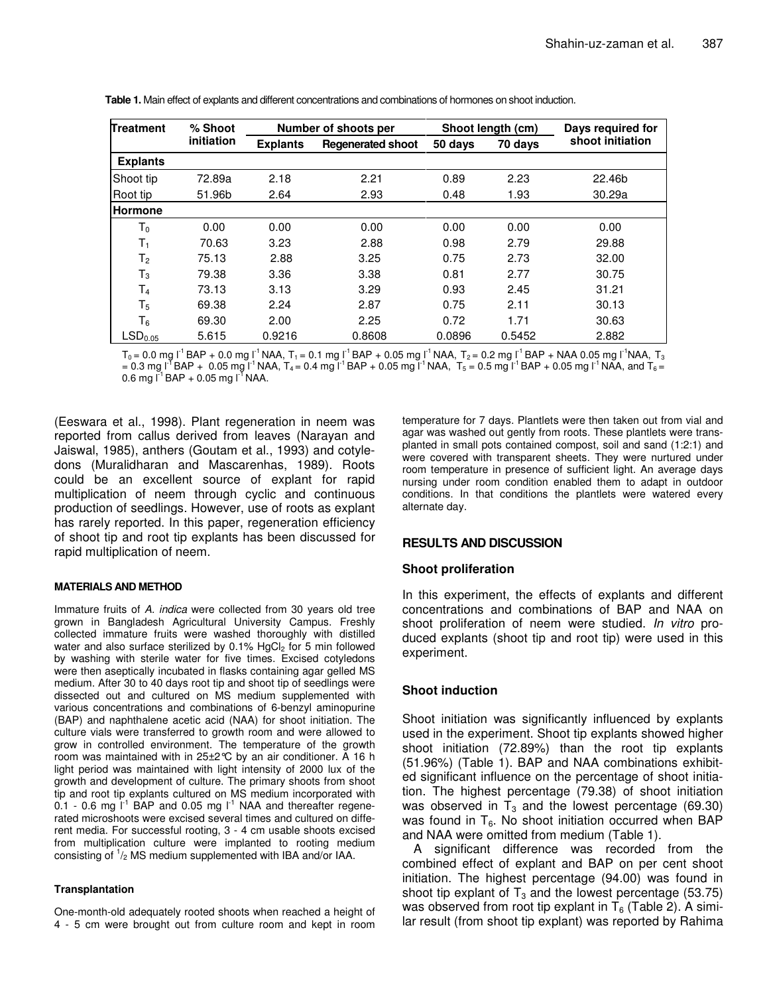| <b>Treatment</b>    | % Shoot    | Number of shoots per |                          | Shoot length (cm)  |        | Days required for |  |
|---------------------|------------|----------------------|--------------------------|--------------------|--------|-------------------|--|
|                     | initiation | <b>Explants</b>      | <b>Regenerated shoot</b> | 50 days<br>70 days |        | shoot initiation  |  |
| <b>Explants</b>     |            |                      |                          |                    |        |                   |  |
| Shoot tip           | 72.89a     | 2.18                 | 2.21                     | 0.89               | 2.23   | 22.46b            |  |
| Root tip            | 51.96b     | 2.64                 | 2.93                     | 0.48               | 1.93   | 30.29a            |  |
| <b>Hormone</b>      |            |                      |                          |                    |        |                   |  |
| T <sub>0</sub>      | 0.00       | 0.00                 | 0.00                     | 0.00               | 0.00   | 0.00              |  |
| $T_1$               | 70.63      | 3.23                 | 2.88                     | 0.98               | 2.79   | 29.88             |  |
| T <sub>2</sub>      | 75.13      | 2.88                 | 3.25                     | 0.75               | 2.73   | 32.00             |  |
| $\mathsf{T}_3$      | 79.38      | 3.36                 | 3.38                     | 0.81               | 2.77   | 30.75             |  |
| T <sub>4</sub>      | 73.13      | 3.13                 | 3.29                     | 0.93               | 2.45   | 31.21             |  |
| $T_5$               | 69.38      | 2.24                 | 2.87                     | 0.75               | 2.11   | 30.13             |  |
| T <sub>6</sub>      | 69.30      | 2.00                 | 2.25                     | 0.72               | 1.71   | 30.63             |  |
| LSD <sub>0.05</sub> | 5.615      | 0.9216               | 0.8608                   | 0.0896             | 0.5452 | 2.882             |  |

**Table 1.** Main effect of explants and different concentrations and combinations of hormones on shoot induction.

 ${\sf T}_0$  = 0.0 mg l $^1$  BAP + 0.0 mg l $^1$  NAA,  ${\sf T}_1$  = 0.1 mg l $^1$  BAP + 0.05 mg l $^1$  NAA,  ${\sf T}_2$  = 0.2 mg l $^1$  BAP + NAA 0.05 mg l $^1$ NAA,  ${\sf T}_3$ = 0.3 mg l $^1$ BAP + 0.05 mg l $^1$ NAA, T $_4$  = 0.4 mg l $^1$ BAP + 0.05 mg l $^1$ NAA, T $_5$  = 0.5 mg l $^1$ BAP + 0.05 mg l $^1$ NAA, and T $_6$  = 0.6 mg l $^{-1}$  BAP + 0.05 mg l $^{-1}$  NAA.

(Eeswara et al., 1998). Plant regeneration in neem was reported from callus derived from leaves (Narayan and Jaiswal, 1985), anthers (Goutam et al., 1993) and cotyledons (Muralidharan and Mascarenhas, 1989). Roots could be an excellent source of explant for rapid multiplication of neem through cyclic and continuous production of seedlings. However, use of roots as explant has rarely reported. In this paper, regeneration efficiency of shoot tip and root tip explants has been discussed for rapid multiplication of neem.

## **MATERIALS AND METHOD**

Immature fruits of *A. indica* were collected from 30 years old tree grown in Bangladesh Agricultural University Campus. Freshly collected immature fruits were washed thoroughly with distilled water and also surface sterilized by  $0.1\%$  HgCl<sub>2</sub> for 5 min followed by washing with sterile water for five times. Excised cotyledons were then aseptically incubated in flasks containing agar gelled MS medium. After 30 to 40 days root tip and shoot tip of seedlings were dissected out and cultured on MS medium supplemented with various concentrations and combinations of 6-benzyl aminopurine (BAP) and naphthalene acetic acid (NAA) for shoot initiation. The culture vials were transferred to growth room and were allowed to grow in controlled environment. The temperature of the growth room was maintained with in 25±2°C by an air conditioner. A 16 h light period was maintained with light intensity of 2000 lux of the growth and development of culture. The primary shoots from shoot tip and root tip explants cultured on MS medium incorporated with 0.1 - 0.6 mg  $I^1$  BAP and 0.05 mg  $I^1$  NAA and thereafter regenerated microshoots were excised several times and cultured on different media. For successful rooting, 3 - 4 cm usable shoots excised from multiplication culture were implanted to rooting medium consisting of  $\frac{1}{2}$  MS medium supplemented with IBA and/or IAA.

#### **Transplantation**

One-month-old adequately rooted shoots when reached a height of 4 - 5 cm were brought out from culture room and kept in room

temperature for 7 days. Plantlets were then taken out from vial and agar was washed out gently from roots. These plantlets were transplanted in small pots contained compost, soil and sand (1:2:1) and were covered with transparent sheets. They were nurtured under room temperature in presence of sufficient light. An average days nursing under room condition enabled them to adapt in outdoor conditions. In that conditions the plantlets were watered every alternate day.

## **RESULTS AND DISCUSSION**

## **Shoot proliferation**

In this experiment, the effects of explants and different concentrations and combinations of BAP and NAA on shoot proliferation of neem were studied. *In vitro* produced explants (shoot tip and root tip) were used in this experiment.

## **Shoot induction**

Shoot initiation was significantly influenced by explants used in the experiment. Shoot tip explants showed higher shoot initiation (72.89%) than the root tip explants (51.96%) (Table 1). BAP and NAA combinations exhibited significant influence on the percentage of shoot initiation. The highest percentage (79.38) of shoot initiation was observed in  $T_3$  and the lowest percentage (69.30) was found in  $T_6$ . No shoot initiation occurred when BAP and NAA were omitted from medium (Table 1).

A significant difference was recorded from the combined effect of explant and BAP on per cent shoot initiation. The highest percentage (94.00) was found in shoot tip explant of  $T_3$  and the lowest percentage (53.75) was observed from root tip explant in  $T_6$  (Table 2). A similar result (from shoot tip explant) was reported by Rahima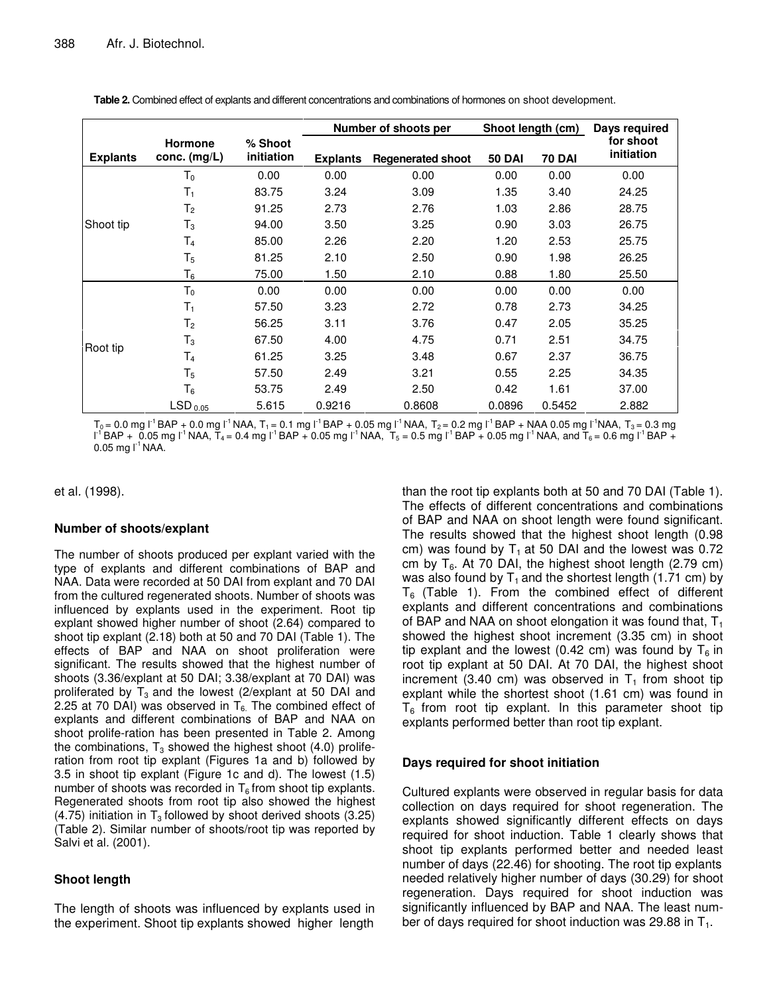|                 |                         |                       |                 | Number of shoots per     | Shoot length (cm) |        | Days required           |  |
|-----------------|-------------------------|-----------------------|-----------------|--------------------------|-------------------|--------|-------------------------|--|
| <b>Explants</b> | Hormone<br>conc. (mg/L) | % Shoot<br>initiation | <b>Explants</b> | <b>Regenerated shoot</b> | <b>50 DAI</b>     | 70 DAI | for shoot<br>initiation |  |
| Shoot tip       | T <sub>0</sub>          | 0.00                  | 0.00            | 0.00                     | 0.00              | 0.00   | 0.00                    |  |
|                 | T1                      | 83.75                 | 3.24            | 3.09                     | 1.35              | 3.40   | 24.25                   |  |
|                 | T <sub>2</sub>          | 91.25                 | 2.73            | 2.76                     | 1.03              | 2.86   | 28.75                   |  |
|                 | $\mathsf{T}_3$          | 94.00                 | 3.50            | 3.25                     | 0.90              | 3.03   | 26.75                   |  |
|                 | T4                      | 85.00                 | 2.26            | 2.20                     | 1.20              | 2.53   | 25.75                   |  |
|                 | T <sub>5</sub>          | 81.25                 | 2.10            | 2.50                     | 0.90              | 1.98   | 26.25                   |  |
|                 | $\mathsf{T}_6$          | 75.00                 | 1.50            | 2.10                     | 0.88              | 1.80   | 25.50                   |  |
| Root tip        | T <sub>0</sub>          | 0.00                  | 0.00            | 0.00                     | 0.00              | 0.00   | 0.00                    |  |
|                 | $T_{1}$                 | 57.50                 | 3.23            | 2.72                     | 0.78              | 2.73   | 34.25                   |  |
|                 | T <sub>2</sub>          | 56.25                 | 3.11            | 3.76                     | 0.47              | 2.05   | 35.25                   |  |
|                 | $T_3$                   | 67.50                 | 4.00            | 4.75                     | 0.71              | 2.51   | 34.75                   |  |
|                 | T4                      | 61.25                 | 3.25            | 3.48                     | 0.67              | 2.37   | 36.75                   |  |
|                 | $\mathsf{T}_5$          | 57.50                 | 2.49            | 3.21                     | 0.55              | 2.25   | 34.35                   |  |
|                 | T <sub>6</sub>          | 53.75                 | 2.49            | 2.50                     | 0.42              | 1.61   | 37.00                   |  |
|                 | LSD <sub>0.05</sub>     | 5.615                 | 0.9216          | 0.8608                   | 0.0896            | 0.5452 | 2.882                   |  |

**Table 2.** Combined effect of explants and different concentrations and combinations of hormones on shoot development.

 $T_0$  = 0.0 mg l<sup>-1</sup> BAP + 0.0 mg l<sup>-1</sup> NAA,  $T_1$  = 0.1 mg l<sup>-1</sup> BAP + 0.05 mg l<sup>-1</sup> NAA,  $T_2$  = 0.2 mg l<sup>-1</sup> BAP + NAA 0.05 mg l<sup>-1</sup>NAA,  $T_3$  = 0.3 mg I $^{\text{-1}}$ BAP +  $\bar{0.05}$  mg I $^{\text{-1}}$ NAA,  $\bar{T}_4$  = 0.4 mg I $^{\text{-1}}$ BAP + 0.05 mg I $^{\text{-1}}$ NAA,  $\bar{T}_5$  = 0.5 mg I $^{\text{-1}}$ BAP + 0.05 mg I $^{\text{-1}}$ NAA, and  $\bar{T}_6$  = 0.6 mg I $^{\text{-1}}$ BAP +  $0.05$  mg l<sup>-1</sup> NAA.

et al*.* (1998).

## **Number of shoots/explant**

The number of shoots produced per explant varied with the type of explants and different combinations of BAP and NAA. Data were recorded at 50 DAI from explant and 70 DAI from the cultured regenerated shoots. Number of shoots was influenced by explants used in the experiment. Root tip explant showed higher number of shoot (2.64) compared to shoot tip explant (2.18) both at 50 and 70 DAI (Table 1). The effects of BAP and NAA on shoot proliferation were significant. The results showed that the highest number of shoots (3.36/explant at 50 DAI; 3.38/explant at 70 DAI) was proliferated by  $T_3$  and the lowest (2/explant at 50 DAI and 2.25 at 70 DAI) was observed in  $T_6$ . The combined effect of explants and different combinations of BAP and NAA on shoot prolife-ration has been presented in Table 2. Among the combinations,  $T_3$  showed the highest shoot (4.0) proliferation from root tip explant (Figures 1a and b) followed by 3.5 in shoot tip explant (Figure 1c and d). The lowest (1.5) number of shoots was recorded in  $T_6$  from shoot tip explants. Regenerated shoots from root tip also showed the highest (4.75) initiation in  $T_3$  followed by shoot derived shoots (3.25) (Table 2). Similar number of shoots/root tip was reported by Salvi et al*.* (2001).

## **Shoot length**

The length of shoots was influenced by explants used in the experiment. Shoot tip explants showed higher length

than the root tip explants both at 50 and 70 DAI (Table 1). The effects of different concentrations and combinations of BAP and NAA on shoot length were found significant. The results showed that the highest shoot length (0.98 cm) was found by  $T_1$  at 50 DAI and the lowest was 0.72 cm by  $T_6$ . At 70 DAI, the highest shoot length (2.79 cm) was also found by  $T_1$  and the shortest length (1.71 cm) by  $T_6$  (Table 1). From the combined effect of different explants and different concentrations and combinations of BAP and NAA on shoot elongation it was found that,  $T_1$ showed the highest shoot increment (3.35 cm) in shoot tip explant and the lowest (0.42 cm) was found by  $T_6$  in root tip explant at 50 DAI. At 70 DAI, the highest shoot increment (3.40 cm) was observed in  $T_1$  from shoot tip explant while the shortest shoot (1.61 cm) was found in  $T_6$  from root tip explant. In this parameter shoot tip explants performed better than root tip explant.

## **Days required for shoot initiation**

Cultured explants were observed in regular basis for data collection on days required for shoot regeneration. The explants showed significantly different effects on days required for shoot induction. Table 1 clearly shows that shoot tip explants performed better and needed least number of days (22.46) for shooting. The root tip explants needed relatively higher number of days (30.29) for shoot regeneration. Days required for shoot induction was significantly influenced by BAP and NAA. The least number of days required for shoot induction was 29.88 in  $T_1$ .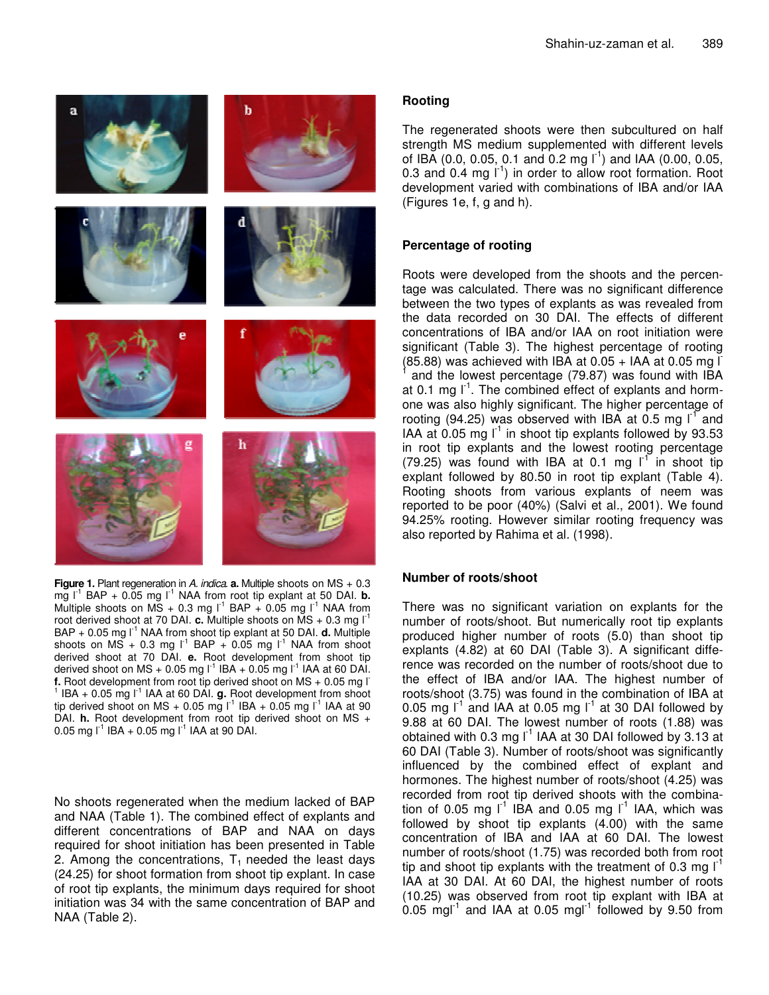

**Figure 1.** Plant regeneration in *A. indica*. **a.** Multiple shoots on MS + 0.3 mg l -1 BAP + 0.05 mg l -1 NAA from root tip explant at 50 DAI. **b.** Multiple shoots on  $\overline{MS} + 0.3$  mg  $I^{-1}$  BAP + 0.05 mg  $I^{-1}$  NAA from root derived shoot at 70 DAI. **c.** Multiple shoots on MS + 0.3 mg l<sup>-1</sup> BAP + 0.05 mg l<sup>-1</sup> NAA from shoot tip explant at 50 DAI. **d.** Multiple shoots on  $MS + 0.3$  mg  $I<sup>1</sup>$  BAP + 0.05 mg  $I<sup>1</sup>$  NAA from shoot derived shoot at 70 DAI. **e.** Root development from shoot tip derived shoot on MS + 0.05 mg l $^{-1}$  IBA + 0.05 mg l $^{-1}$  IAA at 60 DAI. **f.** Root development from root tip derived shoot on MS + 0.05 mg l  $1$  IBA  $+$  0.05 mg  $1<sup>-1</sup>$  IAA at 60 DAI. **g.** Root development from shoot tip derived shoot on MS + 0.05 mg  $I^{-1}$  IBA + 0.05 mg  $I^{-1}$  IAA at 90 DAI. **h.** Root development from root tip derived shoot on MS + 0.05 mg  $I^1$  IBA + 0.05 mg  $I^1$  IAA at 90 DAI.

No shoots regenerated when the medium lacked of BAP and NAA (Table 1). The combined effect of explants and different concentrations of BAP and NAA on days required for shoot initiation has been presented in Table 2. Among the concentrations,  $T_1$  needed the least days (24.25) for shoot formation from shoot tip explant. In case of root tip explants, the minimum days required for shoot initiation was 34 with the same concentration of BAP and NAA (Table 2).

# **Rooting**

The regenerated shoots were then subcultured on half strength MS medium supplemented with different levels of IBA (0.0, 0.05, 0.1 and 0.2 mg  $\overline{I}^1$ ) and IAA (0.00, 0.05, 0.3 and 0.4 mg I<sup>-1</sup>) in order to allow root formation. Root development varied with combinations of IBA and/or IAA (Figures 1e, f, g and h).

# **Percentage of rooting**

Roots were developed from the shoots and the percentage was calculated. There was no significant difference between the two types of explants as was revealed from the data recorded on 30 DAI. The effects of different concentrations of IBA and/or IAA on root initiation were significant (Table 3). The highest percentage of rooting  $(85.88)$  was achieved with IBA at 0.05 + IAA at 0.05 mg  $\overline{I}$ 1 and the lowest percentage (79.87) was found with IBA at 0.1 mg  $I<sup>-1</sup>$ . The combined effect of explants and hormone was also highly significant. The higher percentage of rooting (94.25) was observed with IBA at 0.5 mg  $I<sup>T</sup>$  and IAA at  $0.05$  mg  $I<sup>-1</sup>$  in shoot tip explants followed by 93.53 in root tip explants and the lowest rooting percentage (79.25) was found with IBA at 0.1 mg  $I<sup>T</sup>$  in shoot tip explant followed by 80.50 in root tip explant (Table 4). Rooting shoots from various explants of neem was reported to be poor (40%) (Salvi et al*.*, 2001). We found 94.25% rooting. However similar rooting frequency was also reported by Rahima et al*.* (1998).

## **Number of roots/shoot**

There was no significant variation on explants for the number of roots/shoot. But numerically root tip explants produced higher number of roots (5.0) than shoot tip explants (4.82) at 60 DAI (Table 3). A significant difference was recorded on the number of roots/shoot due to the effect of IBA and/or IAA. The highest number of roots/shoot (3.75) was found in the combination of IBA at 0.05 mg  $I^1$  and IAA at 0.05 mg  $I^1$  at 30 DAI followed by 9.88 at 60 DAI. The lowest number of roots (1.88) was obtained with 0.3 mg I $^1$  IAA at 30 DAI followed by 3.13 at 60 DAI (Table 3). Number of roots/shoot was significantly influenced by the combined effect of explant and hormones. The highest number of roots/shoot (4.25) was recorded from root tip derived shoots with the combination of 0.05 mg  $I<sup>-1</sup>$  IBA and 0.05 mg  $I<sup>-1</sup>$  IAA, which was followed by shoot tip explants (4.00) with the same concentration of IBA and IAA at 60 DAI. The lowest number of roots/shoot (1.75) was recorded both from root tip and shoot tip explants with the treatment of 0.3 mg  $I<sup>-1</sup>$ IAA at 30 DAI. At 60 DAI, the highest number of roots (10.25) was observed from root tip explant with IBA at  $0.05$  mgl<sup>-1</sup> and IAA at 0.05 mgl<sup>-1</sup> followed by 9.50 from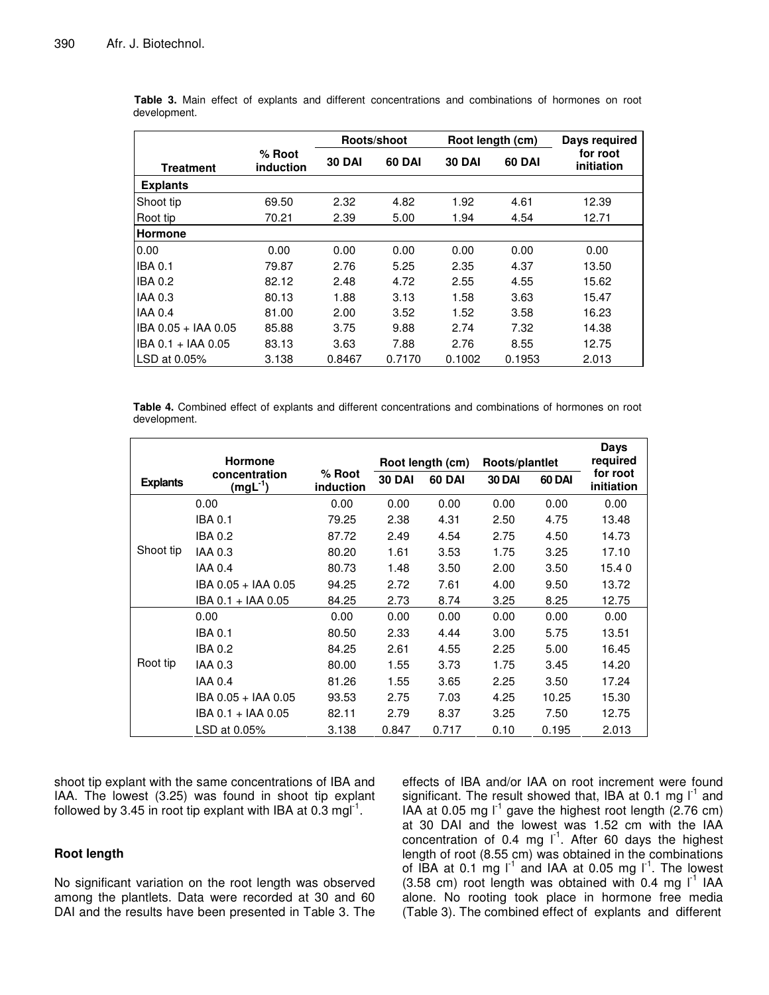|                     |                     | Roots/shoot   |               |               | Root length (cm) | Days required          |  |
|---------------------|---------------------|---------------|---------------|---------------|------------------|------------------------|--|
| <b>Treatment</b>    | % Root<br>induction | <b>30 DAI</b> | <b>60 DAI</b> | <b>30 DAI</b> | <b>60 DAI</b>    | for root<br>initiation |  |
| <b>Explants</b>     |                     |               |               |               |                  |                        |  |
| Shoot tip           | 69.50               | 2.32          | 4.82          | 1.92          | 4.61             | 12.39                  |  |
| Root tip            | 70.21               | 2.39          | 5.00          | 1.94          | 4.54             | 12.71                  |  |
| <b>Hormone</b>      |                     |               |               |               |                  |                        |  |
| 0.00                | 0.00                | 0.00          | 0.00          | 0.00          | 0.00             | 0.00                   |  |
| <b>IBA 0.1</b>      | 79.87               | 2.76          | 5.25          | 2.35          | 4.37             | 13.50                  |  |
| <b>IBA 0.2</b>      | 82.12               | 2.48          | 4.72          | 2.55          | 4.55             | 15.62                  |  |
| <b>IAA 0.3</b>      | 80.13               | 1.88          | 3.13          | 1.58          | 3.63             | 15.47                  |  |
| <b>IAA 0.4</b>      | 81.00               | 2.00          | 3.52          | 1.52          | 3.58             | 16.23                  |  |
| IBA 0.05 + IAA 0.05 | 85.88               | 3.75          | 9.88          | 2.74          | 7.32             | 14.38                  |  |
| IBA 0.1 + IAA 0.05  | 83.13               | 3.63          | 7.88          | 2.76          | 8.55             | 12.75                  |  |
| LSD at 0.05%        | 3.138               | 0.8467        | 0.7170        | 0.1002        | 0.1953           | 2.013                  |  |

**Table 3.** Main effect of explants and different concentrations and combinations of hormones on root development.

**Table 4.** Combined effect of explants and different concentrations and combinations of hormones on root development.

|                 | <b>Hormone</b>             |                            | Root length (cm)<br>Roots/plantlet |               |               | Days<br>required |                        |
|-----------------|----------------------------|----------------------------|------------------------------------|---------------|---------------|------------------|------------------------|
| <b>Explants</b> | concentration<br>$(mgL-1)$ | % Root<br><i>induction</i> | <b>30 DAI</b>                      | <b>60 DAI</b> | <b>30 DAI</b> | 60 DAI           | for root<br>initiation |
|                 | 0.00                       | 0.00                       | 0.00                               | 0.00          | 0.00          | 0.00             | 0.00                   |
|                 | <b>IBA 0.1</b>             | 79.25                      | 2.38                               | 4.31          | 2.50          | 4.75             | 13.48                  |
|                 | <b>IBA 0.2</b>             | 87.72                      | 2.49                               | 4.54          | 2.75          | 4.50             | 14.73                  |
| Shoot tip       | IAA 0.3                    | 80.20                      | 1.61                               | 3.53          | 1.75          | 3.25             | 17.10                  |
|                 | <b>IAA 0.4</b>             | 80.73                      | 1.48                               | 3.50          | 2.00          | 3.50             | 15.40                  |
|                 | IBA 0.05 + IAA 0.05        | 94.25                      | 2.72                               | 7.61          | 4.00          | 9.50             | 13.72                  |
|                 | IBA 0.1 + IAA 0.05         | 84.25                      | 2.73                               | 8.74          | 3.25          | 8.25             | 12.75                  |
|                 | 0.00                       | 0.00                       | 0.00                               | 0.00          | 0.00          | 0.00             | 0.00                   |
| Root tip        | <b>IBA 0.1</b>             | 80.50                      | 2.33                               | 4.44          | 3.00          | 5.75             | 13.51                  |
|                 | <b>IBA 0.2</b>             | 84.25                      | 2.61                               | 4.55          | 2.25          | 5.00             | 16.45                  |
|                 | IAA 0.3                    | 80.00                      | 1.55                               | 3.73          | 1.75          | 3.45             | 14.20                  |
|                 | <b>IAA 0.4</b>             | 81.26                      | 1.55                               | 3.65          | 2.25          | 3.50             | 17.24                  |
|                 | IBA 0.05 + IAA 0.05        | 93.53                      | 2.75                               | 7.03          | 4.25          | 10.25            | 15.30                  |
|                 | IBA 0.1 + IAA 0.05         | 82.11                      | 2.79                               | 8.37          | 3.25          | 7.50             | 12.75                  |
|                 | LSD at 0.05%               | 3.138                      | 0.847                              | 0.717         | 0.10          | 0.195            | 2.013                  |

shoot tip explant with the same concentrations of IBA and IAA. The lowest (3.25) was found in shoot tip explant followed by 3.45 in root tip explant with IBA at 0.3 mgl<sup>-1</sup>.

# **Root length**

No significant variation on the root length was observed among the plantlets. Data were recorded at 30 and 60 DAI and the results have been presented in Table 3. The effects of IBA and/or IAA on root increment were found significant. The result showed that, IBA at 0.1 mg  $I^1$  and IAA at 0.05 mg  $I^1$  gave the highest root length (2.76 cm) at 30 DAI and the lowest was 1.52 cm with the IAA concentration of 0.4 mg  $I<sup>1</sup>$ . After 60 days the highest length of root (8.55 cm) was obtained in the combinations of IBA at 0.1 mg  $I^1$  and IAA at 0.05 mg  $I^1$ . The lowest  $(3.58 \text{ cm})$  root length was obtained with 0.4 mg  $I<sup>1</sup>$  IAA alone. No rooting took place in hormone free media (Table 3). The combined effect of explants and different